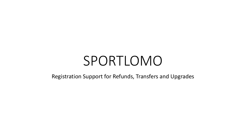# SPORTLOMO

Registration Support for Refunds, Transfers and Upgrades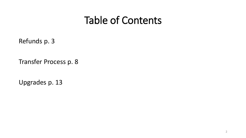#### Table of Contents

Refunds p. 3

Transfer Process p. 8

Upgrades p. 13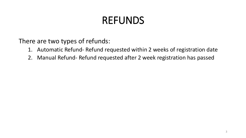#### REFUNDS

There are two types of refunds:

- 1. Automatic Refund- Refund requested within 2 weeks of registration date
- 2. Manual Refund- Refund requested after 2 week registration has passed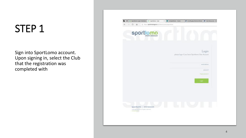Sign into SportLomo account. Upon signing in, select the Club that the registration was completed with

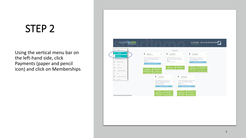Using the vertical menu bar on the left-hand side, click Payments (paper and pencil icon) and click on Memberships

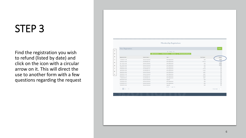Find the registration you wish to refund (listed by date) and click on the icon with a circular arrow on it. This will direct the use to another form with a few questions regarding the request

| $\tilde{W}$                            | <b>View Registrations</b> |                                                                     |                       | $e$ Back                                                                                                                                                                                                                                                                                                                                                    |
|----------------------------------------|---------------------------|---------------------------------------------------------------------|-----------------------|-------------------------------------------------------------------------------------------------------------------------------------------------------------------------------------------------------------------------------------------------------------------------------------------------------------------------------------------------------------|
|                                        |                           | - Options -                                                         |                       |                                                                                                                                                                                                                                                                                                                                                             |
| $\boxtimes$                            |                           | A View Members # View Transfers 4 Register D Refunds/Refund Request |                       |                                                                                                                                                                                                                                                                                                                                                             |
| $\Delta$<br><b>Registration Date #</b> | Payment Status 0          | Type 0                                                              | <b>Total Charge 0</b> | Actions                                                                                                                                                                                                                                                                                                                                                     |
| $\boxplus$<br>11/09/2019 11:48         | Payment Received          | New Registration                                                    | 0.00                  | $i$ 0                                                                                                                                                                                                                                                                                                                                                       |
| 15/05/2019 16:04<br>ps:                | Cancelled By User         | New Registration                                                    | 1,167.18              | u                                                                                                                                                                                                                                                                                                                                                           |
| 02/11/2018 12:28                       | Payment Received          | New Registration                                                    | 0.00                  | 10                                                                                                                                                                                                                                                                                                                                                          |
| 02/11/2018 12:26<br>$\triangle$        | Payment Received          | New Registration                                                    | 0.00                  | $i$ 0                                                                                                                                                                                                                                                                                                                                                       |
| 29/08/2018 15:03                       | Payment Received          | New Registration                                                    | 0.00                  | $\begin{tabular}{ c c } \hline $4$ \\ \hline \end{tabular}$                                                                                                                                                                                                                                                                                                 |
| $\sqrt{2}$<br>07/08/2018 10:24         | Cancelled By User         | New Registration                                                    | 171.33                | $\begin{bmatrix} \mathbf{i} \end{bmatrix}$                                                                                                                                                                                                                                                                                                                  |
| 18/07/2018 14:29<br>$\rm{II}$          | Cancelled By User         | New Registration                                                    | 115.24                | $\begin{tabular}{ c c } \hline \rule{0.3cm}{.03cm} \rule{0.3cm}{.03cm} \rule{0.3cm}{.03cm} \rule{0.3cm}{.03cm} \rule{0.3cm}{.03cm} \rule{0.3cm}{.03cm} \rule{0.3cm}{.03cm} \rule{0.3cm}{.03cm} \rule{0.3cm}{.03cm} \rule{0.3cm}{.03cm} \rule{0.3cm}{.03cm} \rule{0.3cm}{.03cm} \rule{0.3cm}{.03cm} \rule{0.3cm}{.03cm} \rule{0.3cm}{.03cm} \rule{0.3cm}{.0$ |
| 30/06/2018 12:02                       | Payment Received          | New Registration                                                    | 68.27                 | $\boxed{\textbf{i}}$                                                                                                                                                                                                                                                                                                                                        |
| 30/06/2018 11:09<br>$\uplus$           | Payment Received          | New Registration                                                    | 68.27                 | $\begin{tabular}{ c c } \hline \rule{0.3cm}{.03cm} & \rule{0.3cm}{.03cm} \hline \rule{0.3cm}{.03cm} & \rule{0.3cm}{.03cm} \end{tabular}$                                                                                                                                                                                                                    |
| 20/06/2018 11:18                       | Cancelled By User         | New Registration                                                    | 150.68                | $\begin{tabular}{ c c } \hline \rule{0.3cm}{.04cm} \rule{0.3cm}{.04cm} \rule{0.3cm}{.04cm} \rule{0.3cm}{.04cm} \rule{0.3cm}{.04cm} \rule{0.3cm}{.04cm} \rule{0.3cm}{.04cm} \rule{0.3cm}{.04cm} \rule{0.3cm}{.04cm} \rule{0.3cm}{.04cm} \rule{0.3cm}{.04cm} \rule{0.3cm}{.04cm} \rule{0.3cm}{.04cm} \rule{0.3cm}{.04cm} \rule{0.3cm}{.04cm} \rule{0.3cm}{.0$ |
| 11/06/2018 09:18                       | Cancelled By User         | New Registration                                                    | 68.27                 | $\begin{tabular}{ c c } \hline \rule{0.3cm}{.04cm} \rule{0.3cm}{.04cm} \rule{0.3cm}{.04cm} \rule{0.3cm}{.04cm} \rule{0.3cm}{.04cm} \rule{0.3cm}{.04cm} \rule{0.3cm}{.04cm} \rule{0.3cm}{.04cm} \rule{0.3cm}{.04cm} \rule{0.3cm}{.04cm} \rule{0.3cm}{.04cm} \rule{0.3cm}{.04cm} \rule{0.3cm}{.04cm} \rule{0.3cm}{.04cm} \rule{0.3cm}{.04cm} \rule{0.3cm}{.0$ |
| 29/03/2018 10:22                       | Payment Received          | Upgrade                                                             | 0.00                  | $\begin{tabular}{ c c } \hline \quad \quad & \quad \quad & \quad \quad \\ \hline \end{tabular}$                                                                                                                                                                                                                                                             |
| 21/03/2018 15:31                       | Payment Received          | New Registration                                                    | 0.00                  | $\begin{tabular}{ c c } \hline \rule{0.3cm}{.04cm} \rule{0.3cm}{.04cm} \rule{0.3cm}{.04cm} \rule{0.3cm}{.04cm} \rule{0.3cm}{.04cm} \rule{0.3cm}{.04cm} \rule{0.3cm}{.04cm} \rule{0.3cm}{.04cm} \rule{0.3cm}{.04cm} \rule{0.3cm}{.04cm} \rule{0.3cm}{.04cm} \rule{0.3cm}{.04cm} \rule{0.3cm}{.04cm} \rule{0.3cm}{.04cm} \rule{0.3cm}{.04cm} \rule{0.3cm}{.0$ |
| 21/03/2018 15:17                       | Payment Received          | New Registration                                                    | 0.00                  | $\Box$                                                                                                                                                                                                                                                                                                                                                      |
| 19/03/2018 10:46                       | Payment Received          | Upgrade                                                             | 0.00                  | $\begin{array}{c} \boxed{4} \\ \end{array}$                                                                                                                                                                                                                                                                                                                 |
|                                        |                           | Total 30   page 1 of 2                                              |                       | rows per page 15 v                                                                                                                                                                                                                                                                                                                                          |
|                                        |                           |                                                                     |                       |                                                                                                                                                                                                                                                                                                                                                             |
|                                        |                           |                                                                     |                       |                                                                                                                                                                                                                                                                                                                                                             |
|                                        |                           |                                                                     |                       |                                                                                                                                                                                                                                                                                                                                                             |
|                                        |                           |                                                                     |                       |                                                                                                                                                                                                                                                                                                                                                             |
|                                        |                           |                                                                     |                       |                                                                                                                                                                                                                                                                                                                                                             |
|                                        |                           |                                                                     |                       |                                                                                                                                                                                                                                                                                                                                                             |
|                                        |                           |                                                                     |                       |                                                                                                                                                                                                                                                                                                                                                             |
|                                        |                           |                                                                     |                       |                                                                                                                                                                                                                                                                                                                                                             |
|                                        |                           |                                                                     |                       |                                                                                                                                                                                                                                                                                                                                                             |
|                                        |                           |                                                                     |                       |                                                                                                                                                                                                                                                                                                                                                             |
|                                        |                           |                                                                     |                       |                                                                                                                                                                                                                                                                                                                                                             |
|                                        |                           |                                                                     |                       |                                                                                                                                                                                                                                                                                                                                                             |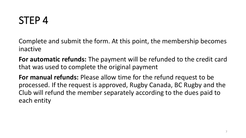Complete and submit the form. At this point, the membership becomes inactive

**For automatic refunds:** The payment will be refunded to the credit card that was used to complete the original payment

**For manual refunds:** Please allow time for the refund request to be processed. If the request is approved, Rugby Canada, BC Rugby and the Club will refund the member separately according to the dues paid to each entity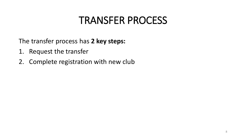#### TRANSFER PROCESS

The transfer process has **2 key steps:**

- 1. Request the transfer
- 2. Complete registration with new club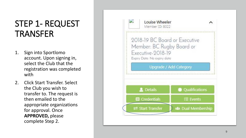#### STEP 1- REQUEST TRANSFER

- 1. Sign into Sportlomo account. Upon signing in, select the Club that the registration was completed with
- 2. Click Start Transfer. Select the Club you wish to transfer to. The request is then emailed to the appropriate organizations for approval. Once **APPROVED,** please complete Step 2.

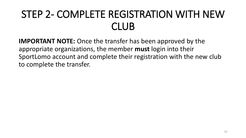## STEP 2- COMPLETE REGISTRATION WITH NEW CLUB

**IMPORTANT NOTE:** Once the transfer has been approved by the appropriate organizations, the member **must** login into their SportLomo account and complete their registration with the new club to complete the transfer.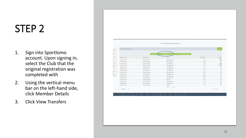- 1. Sign into Sportlomo account. Upon signing in, select the Club that the original registration was completed with
- 2. Using the vertical menu bar on the left -hand side, click Member Details
- 3. Click View Transfers

| <b>View Registrations</b> |                   |                           |                       | $+8a\dot{x}$                                                                                                                                                                                                                                                                                                                                                |
|---------------------------|-------------------|---------------------------|-----------------------|-------------------------------------------------------------------------------------------------------------------------------------------------------------------------------------------------------------------------------------------------------------------------------------------------------------------------------------------------------------|
|                           |                   |                           |                       |                                                                                                                                                                                                                                                                                                                                                             |
|                           | 2 View Men        | *D Refunds/Refund Request |                       |                                                                                                                                                                                                                                                                                                                                                             |
| Registration Date 0       | Payment Status 0  | Type 0                    | <b>Total Charge 0</b> | Actions                                                                                                                                                                                                                                                                                                                                                     |
| 11/09/2019 11:48          | Payment Received  | New Registration          | 0.00                  | $i$ 0                                                                                                                                                                                                                                                                                                                                                       |
| 15/05/2019 16:04          | Cancelled By User | New Registration          | 1,167.18              | $\begin{array}{c} \boxed{4} \\ \end{array}$                                                                                                                                                                                                                                                                                                                 |
| 02/11/2018 12:28          | Payment Received  | New Registration          | 0.00                  | i 0                                                                                                                                                                                                                                                                                                                                                         |
| 02/11/2018 12:26          | Payment Received  | New Registration          | 0.00                  | i 0                                                                                                                                                                                                                                                                                                                                                         |
| 29/08/2018 15:03          | Payment Received  | New Registration          | 0.00                  | $\lceil i \rceil$                                                                                                                                                                                                                                                                                                                                           |
| 07/08/2018 10:24          | Cancelled By User | New Registration          | 171.33                | $\begin{array}{c} \boxed{4} \end{array}$                                                                                                                                                                                                                                                                                                                    |
| 18/07/2018 14:29          | Cancelled By User | New Registration          | 115.24                | $\begin{tabular}{ c c } \hline \quad \quad & \quad \quad & \quad \quad \\ \hline \end{tabular}$                                                                                                                                                                                                                                                             |
| 30/06/2018 12:02          | Payment Received  | New Registration          | 68.27                 |                                                                                                                                                                                                                                                                                                                                                             |
| 30/06/2018 11:09          | Payment Received  | New Registration          | 68.27                 | $\left\lceil \mathbf{i} \right\rceil$                                                                                                                                                                                                                                                                                                                       |
| 20/06/2018 11:18          | Cancelled By User | New Registration          | 150.68                |                                                                                                                                                                                                                                                                                                                                                             |
| 11/06/2018 09:18          | Cancelled By User | New Registration          | 68.27                 |                                                                                                                                                                                                                                                                                                                                                             |
| 29/03/2018 10:22          | Payment Received  | Upgrade                   | 0.00                  |                                                                                                                                                                                                                                                                                                                                                             |
| 21/03/2018 15:31          | Payment Received  | New Registration          | 0.00                  | $\left\lceil \mathbf{i} \right\rceil$                                                                                                                                                                                                                                                                                                                       |
| 21/03/2018 15:17          | Payment Received  | New Registration          | 0.00                  | $\begin{tabular}{ c c } \hline \rule{0.3cm}{.04cm} \rule{0.3cm}{.04cm} \rule{0.3cm}{.04cm} \rule{0.3cm}{.04cm} \rule{0.3cm}{.04cm} \rule{0.3cm}{.04cm} \rule{0.3cm}{.04cm} \rule{0.3cm}{.04cm} \rule{0.3cm}{.04cm} \rule{0.3cm}{.04cm} \rule{0.3cm}{.04cm} \rule{0.3cm}{.04cm} \rule{0.3cm}{.04cm} \rule{0.3cm}{.04cm} \rule{0.3cm}{.04cm} \rule{0.3cm}{.0$ |
| 19/03/2018 10:46          | Payment Received  | Upgrade                   | 0.00                  |                                                                                                                                                                                                                                                                                                                                                             |
|                           |                   | Total 30   page 1 of 2    |                       | rows per page 15 v                                                                                                                                                                                                                                                                                                                                          |
|                           |                   |                           |                       |                                                                                                                                                                                                                                                                                                                                                             |
|                           |                   |                           |                       |                                                                                                                                                                                                                                                                                                                                                             |
|                           |                   |                           |                       |                                                                                                                                                                                                                                                                                                                                                             |
|                           |                   |                           |                       |                                                                                                                                                                                                                                                                                                                                                             |
|                           |                   |                           |                       |                                                                                                                                                                                                                                                                                                                                                             |
|                           |                   |                           |                       |                                                                                                                                                                                                                                                                                                                                                             |
|                           |                   |                           |                       |                                                                                                                                                                                                                                                                                                                                                             |
|                           |                   |                           |                       |                                                                                                                                                                                                                                                                                                                                                             |
|                           |                   |                           |                       |                                                                                                                                                                                                                                                                                                                                                             |
|                           |                   |                           |                       |                                                                                                                                                                                                                                                                                                                                                             |
|                           |                   |                           |                       |                                                                                                                                                                                                                                                                                                                                                             |
|                           |                   |                           |                       |                                                                                                                                                                                                                                                                                                                                                             |
|                           |                   |                           |                       |                                                                                                                                                                                                                                                                                                                                                             |
|                           |                   |                           |                       |                                                                                                                                                                                                                                                                                                                                                             |
|                           |                   |                           |                       |                                                                                                                                                                                                                                                                                                                                                             |
|                           |                   |                           |                       |                                                                                                                                                                                                                                                                                                                                                             |
|                           |                   |                           |                       |                                                                                                                                                                                                                                                                                                                                                             |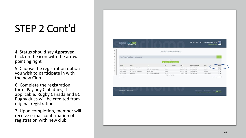# STEP 2 Cont'd

4. Status should say **Approved**. Click on the icon with the arrow pointing right

5. Choose the registration option you wish to participate in with the new Club

6. Complete the registration form. Pay any Club dues, if applicable. Rugby Canada and BC Rugby dues will be credited from original registration

7. Upon completion, member will receive e -mail confirmation of registration with new club

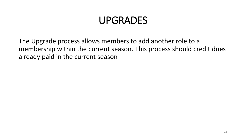#### UPGRADES

The Upgrade process allows members to add another role to a membership within the current season. This process should credit dues already paid in the current season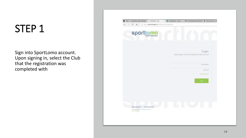Sign into SportLomo account. Upon signing in, select the Club that the registration was completed with

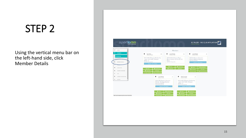Using the vertical menu bar on the left-hand side, click Member Details

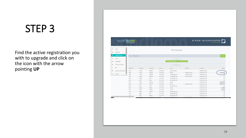Find the active registration you with to upgrade and click on the icon with the arrow pointing **UP**